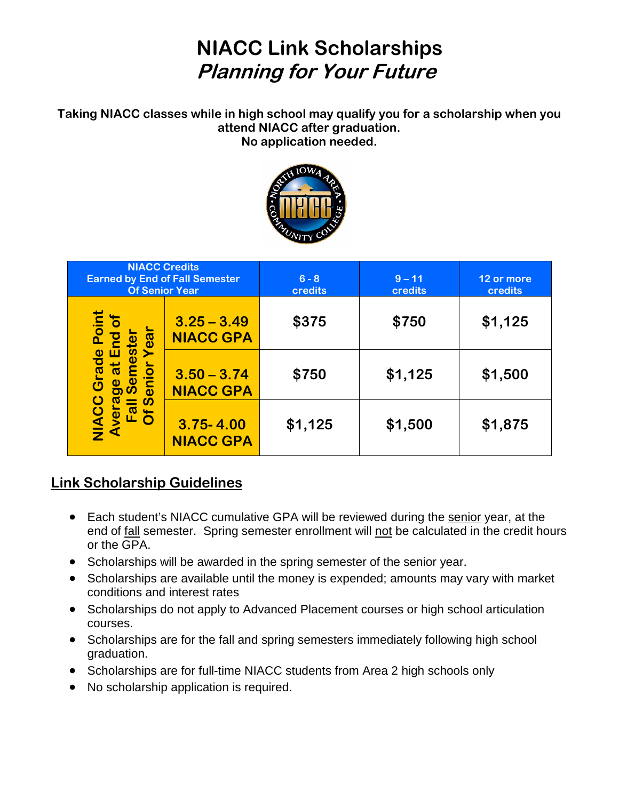## **NIACC Link Scholarships Planning for Your Future**

**Taking NIACC classes while in high school may qualify you for a scholarship when you attend NIACC after graduation. No application needed.**



| <b>NIACC Credits</b><br><b>Earned by End of Fall Semester</b><br><b>Of Senior Year</b>    |                                   | $6 - 8$<br>credits | $9 - 11$<br><b>credits</b> | 12 or more<br>credits |
|-------------------------------------------------------------------------------------------|-----------------------------------|--------------------|----------------------------|-----------------------|
| Point<br>ø<br><u>က</u><br>Grade<br><b>Ŭ⊈</b><br>IN<br>$\frac{\overline{a}}{\overline{b}}$ | $3.25 - 3.49$<br><b>NIACC GPA</b> | \$375              | \$750                      | \$1,125               |
|                                                                                           | $3.50 - 3.74$<br><b>NIACC GPA</b> | \$750              | \$1,125                    | \$1,500               |
|                                                                                           | $3.75 - 4.00$<br><b>NIACC GPA</b> | \$1,125            | \$1,500                    | \$1,875               |

## **Link Scholarship Guidelines**

- Each student's NIACC cumulative GPA will be reviewed during the senior year, at the end of fall semester. Spring semester enrollment will not be calculated in the credit hours or the GPA.
- Scholarships will be awarded in the spring semester of the senior year.
- Scholarships are available until the money is expended; amounts may vary with market conditions and interest rates
- Scholarships do not apply to Advanced Placement courses or high school articulation courses.
- Scholarships are for the fall and spring semesters immediately following high school graduation.
- Scholarships are for full-time NIACC students from Area 2 high schools only
- No scholarship application is required.